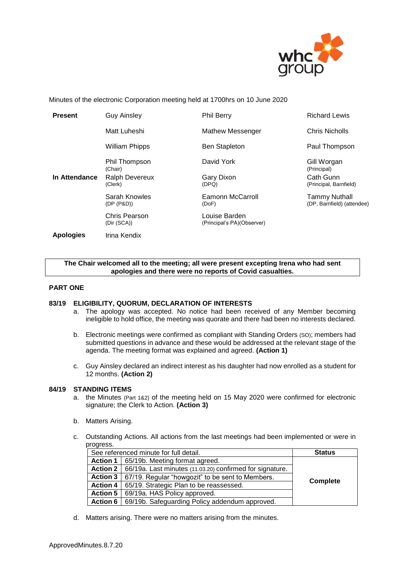

Minutes of the electronic Corporation meeting held at 1700hrs on 10 June 2020

| <b>Present</b>   | <b>Guy Ainsley</b>           | <b>Phil Berry</b>                           | <b>Richard Lewis</b>                        |
|------------------|------------------------------|---------------------------------------------|---------------------------------------------|
|                  | Matt Luheshi                 | Mathew Messenger                            | Chris Nicholls                              |
|                  | <b>William Phipps</b>        | <b>Ben Stapleton</b>                        | Paul Thompson                               |
|                  | Phil Thompson<br>(Chair)     | David York                                  | Gill Worgan<br>(Principal)                  |
| In Attendance    | Ralph Devereux<br>(Clerk)    | Gary Dixon<br>(DPQ)                         | Cath Gunn<br>(Principal, Barnfield)         |
|                  | Sarah Knowles<br>(DP (P&D))  | Eamonn McCarroll<br>(DoF)                   | Tammy Nuthall<br>(DP, Barnfield) (attendee) |
|                  | Chris Pearson<br>(Dir (SCA)) | Louise Barden<br>(Principal's PA)(Observer) |                                             |
| <b>Apologies</b> | Irina Kendix                 |                                             |                                             |

# **The Chair welcomed all to the meeting; all were present excepting Irena who had sent apologies and there were no reports of Covid casualties.**

# **PART ONE**

# **83/19 ELIGIBILITY, QUORUM, DECLARATION OF INTERESTS**

- a. The apology was accepted. No notice had been received of any Member becoming ineligible to hold office, the meeting was quorate and there had been no interests declared.
- b. Electronic meetings were confirmed as compliant with Standing Orders (SO); members had submitted questions in advance and these would be addressed at the relevant stage of the agenda. The meeting format was explained and agreed. **(Action 1)**
- c. Guy Ainsley declared an indirect interest as his daughter had now enrolled as a student for 12 months. **(Action 2)**

# **84/19 STANDING ITEMS**

- a. the Minutes (Part 1&2) of the meeting held on 15 May 2020 were confirmed for electronic signature; the Clerk to Action. **(Action 3)**
- b. Matters Arising.
- c. Outstanding Actions. All actions from the last meetings had been implemented or were in progress.

| See referenced minute for full detail. |                                                                    | <b>Status</b>   |
|----------------------------------------|--------------------------------------------------------------------|-----------------|
| Action 1                               | 65/19b. Meeting format agreed.                                     |                 |
| Action 2                               | 66/19a. Last minutes (11.03.20) confirmed for signature.           |                 |
|                                        | <b>Action 3</b>   67/19. Regular "howgozit" to be sent to Members. |                 |
| Action 4 $\parallel$                   | 65/19. Strategic Plan to be reassessed.                            | <b>Complete</b> |
| Action 5                               | 69/19a. HAS Policy approved.                                       |                 |
| <b>Action 6</b>                        | 69/19b. Safeguarding Policy addendum approved.                     |                 |

d. Matters arising. There were no matters arising from the minutes.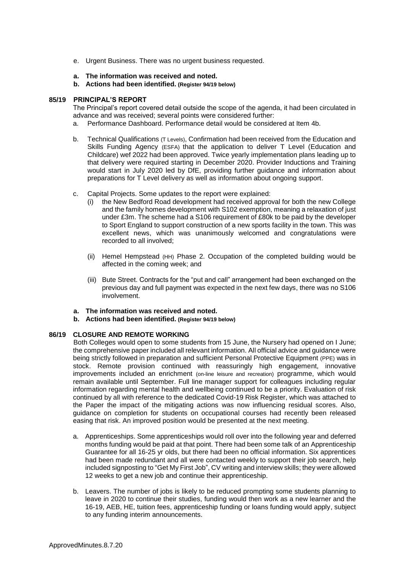- e. Urgent Business. There was no urgent business requested.
- **a. The information was received and noted***.*
- **b. Actions had been identified. (Register 94/19 below)**

# **85/19 PRINCIPAL'S REPORT**

The Principal's report covered detail outside the scope of the agenda, it had been circulated in advance and was received; several points were considered further:

- a. Performance Dashboard. Performance detail would be considered at Item 4b.
- b. Technical Qualifications (T Levels), Confirmation had been received from the Education and Skills Funding Agency (ESFA) that the application to deliver T Level (Education and Childcare) wef 2022 had been approved. Twice yearly implementation plans leading up to that delivery were required starting in December 2020. Provider Inductions and Training would start in July 2020 led by DfE, providing further guidance and information about preparations for T Level delivery as well as information about ongoing support.
- c. Capital Projects. Some updates to the report were explained:
	- (i) the New Bedford Road development had received approval for both the new College and the family homes development with S102 exemption, meaning a relaxation of just under £3m. The scheme had a S106 requirement of £80k to be paid by the developer to Sport England to support construction of a new sports facility in the town. This was excellent news, which was unanimously welcomed and congratulations were recorded to all involved;
	- (ii) Hemel Hempstead (HH) Phase 2. Occupation of the completed building would be affected in the coming week; and
	- (iii) Bute Street. Contracts for the "put and call" arrangement had been exchanged on the previous day and full payment was expected in the next few days, there was no S106 involvement.
- **a. The information was received and noted***.*
- **b. Actions had been identified. (Register 94/19 below)**

# **86/19 CLOSURE AND REMOTE WORKING**

Both Colleges would open to some students from 15 June, the Nursery had opened on I June; the comprehensive paper included all relevant information. All official advice and guidance were being strictly followed in preparation and sufficient Personal Protective Equipment (PPE) was in stock. Remote provision continued with reassuringly high engagement, innovative improvements included an enrichment (on-line leisure and recreation) programme, which would remain available until September. Full line manager support for colleagues including regular information regarding mental health and wellbeing continued to be a priority. Evaluation of risk continued by all with reference to the dedicated Covid-19 Risk Register, which was attached to the Paper the impact of the mitigating actions was now influencing residual scores. Also, guidance on completion for students on occupational courses had recently been released easing that risk. An improved position would be presented at the next meeting.

- a. Apprenticeships. Some apprenticeships would roll over into the following year and deferred months funding would be paid at that point. There had been some talk of an Apprenticeship Guarantee for all 16-25 yr olds, but there had been no official information. Six apprentices had been made redundant and all were contacted weekly to support their job search, help included signposting to "Get My First Job", CV writing and interview skills; they were allowed 12 weeks to get a new job and continue their apprenticeship.
- b. Leavers. The number of jobs is likely to be reduced prompting some students planning to leave in 2020 to continue their studies, funding would then work as a new learner and the 16-19, AEB, HE, tuition fees, apprenticeship funding or loans funding would apply, subject to any funding interim announcements.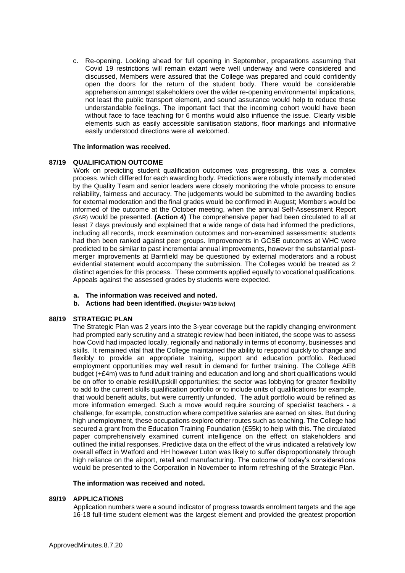c. Re-opening. Looking ahead for full opening in September, preparations assuming that Covid 19 restrictions will remain extant were well underway and were considered and discussed, Members were assured that the College was prepared and could confidently open the doors for the return of the student body. There would be considerable apprehension amongst stakeholders over the wider re-opening environmental implications, not least the public transport element, and sound assurance would help to reduce these understandable feelings. The important fact that the incoming cohort would have been without face to face teaching for 6 months would also influence the issue. Clearly visible elements such as easily accessible sanitisation stations, floor markings and informative easily understood directions were all welcomed.

# **The information was received.**

# **87/19 QUALIFICATION OUTCOME**

Work on predicting student qualification outcomes was progressing, this was a complex process, which differed for each awarding body. Predictions were robustly internally moderated by the Quality Team and senior leaders were closely monitoring the whole process to ensure reliability, fairness and accuracy. The judgements would be submitted to the awarding bodies for external moderation and the final grades would be confirmed in August; Members would be informed of the outcome at the October meeting, when the annual Self-Assessment Report (SAR) would be presented. **(Action 4)** The comprehensive paper had been circulated to all at least 7 days previously and explained that a wide range of data had informed the predictions, including all records, mock examination outcomes and non-examined assessments; students had then been ranked against peer groups. Improvements in GCSE outcomes at WHC were predicted to be similar to past incremental annual improvements, however the substantial postmerger improvements at Barnfield may be questioned by external moderators and a robust evidential statement would accompany the submission. The Colleges would be treated as 2 distinct agencies for this process. These comments applied equally to vocational qualifications. Appeals against the assessed grades by students were expected.

- **a. The information was received and noted***.*
- **b. Actions had been identified. (Register 94/19 below)**

# **88/19 STRATEGIC PLAN**

The Strategic Plan was 2 years into the 3-year coverage but the rapidly changing environment had prompted early scrutiny and a strategic review had been initiated, the scope was to assess how Covid had impacted locally, regionally and nationally in terms of economy, businesses and skills. It remained vital that the College maintained the ability to respond quickly to change and flexibly to provide an appropriate training, support and education portfolio. Reduced employment opportunities may well result in demand for further training. The College AEB budget (+£4m) was to fund adult training and education and long and short qualifications would be on offer to enable reskill/upskill opportunities; the sector was lobbying for greater flexibility to add to the current skills qualification portfolio or to include units of qualifications for example, that would benefit adults, but were currently unfunded. The adult portfolio would be refined as more information emerged. Such a move would require sourcing of specialist teachers - a challenge, for example, construction where competitive salaries are earned on sites. But during high unemployment, these occupations explore other routes such as teaching. The College had secured a grant from the Education Training Foundation (£55k) to help with this. The circulated paper comprehensively examined current intelligence on the effect on stakeholders and outlined the initial responses. Predictive data on the effect of the virus indicated a relatively low overall effect in Watford and HH however Luton was likely to suffer disproportionately through high reliance on the airport, retail and manufacturing. The outcome of today's considerations would be presented to the Corporation in November to inform refreshing of the Strategic Plan.

#### **The information was received and noted.**

#### **89/19 APPLICATIONS**

Application numbers were a sound indicator of progress towards enrolment targets and the age 16-18 full-time student element was the largest element and provided the greatest proportion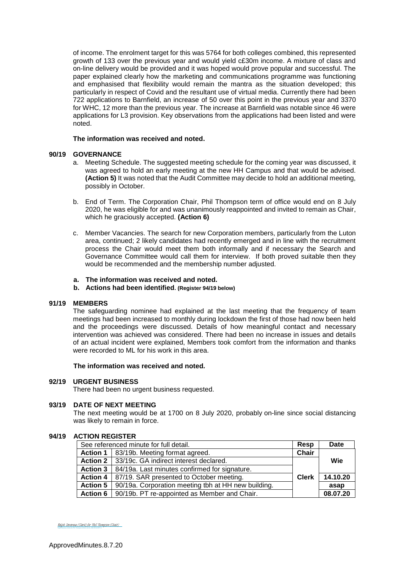of income. The enrolment target for this was 5764 for both colleges combined, this represented growth of 133 over the previous year and would yield c£30m income. A mixture of class and on-line delivery would be provided and it was hoped would prove popular and successful. The paper explained clearly how the marketing and communications programme was functioning and emphasised that flexibility would remain the mantra as the situation developed; this particularly in respect of Covid and the resultant use of virtual media. Currently there had been 722 applications to Barnfield, an increase of 50 over this point in the previous year and 3370 for WHC, 12 more than the previous year. The increase at Barnfield was notable since 46 were applications for L3 provision. Key observations from the applications had been listed and were noted.

# **The information was received and noted.**

# **90/19 GOVERNANCE**

- a. Meeting Schedule. The suggested meeting schedule for the coming year was discussed, it was agreed to hold an early meeting at the new HH Campus and that would be advised. **(Action 5)** It was noted that the Audit Committee may decide to hold an additional meeting, possibly in October.
- b. End of Term. The Corporation Chair, Phil Thompson term of office would end on 8 July 2020, he was eligible for and was unanimously reappointed and invited to remain as Chair, which he graciously accepted. **(Action 6)**
- c. Member Vacancies. The search for new Corporation members, particularly from the Luton area, continued; 2 likely candidates had recently emerged and in line with the recruitment process the Chair would meet them both informally and if necessary the Search and Governance Committee would call them for interview. If both proved suitable then they would be recommended and the membership number adjusted.
- **a. The information was received and noted***.*
- **b. Actions had been identified. (Register 94/19 below)**

# **91/19 MEMBERS**

The safeguarding nominee had explained at the last meeting that the frequency of team meetings had been increased to monthly during lockdown the first of those had now been held and the proceedings were discussed. Details of how meaningful contact and necessary intervention was achieved was considered. There had been no increase in issues and details of an actual incident were explained, Members took comfort from the information and thanks were recorded to ML for his work in this area.

# **The information was received and noted***.*

#### **92/19 URGENT BUSINESS**

There had been no urgent business requested.

# **93/19 DATE OF NEXT MEETING**

The next meeting would be at 1700 on 8 July 2020, probably on-line since social distancing was likely to remain in force.

# **94/19 ACTION REGISTER**

| See referenced minute for full detail. |                                                     | Resp         | <b>Date</b> |
|----------------------------------------|-----------------------------------------------------|--------------|-------------|
|                                        | Action 1   83/19b. Meeting format agreed.           | <b>Chair</b> |             |
|                                        | Action 2   33/19c. GA indirect interest declared.   |              | Wie         |
| <b>Action 3</b>                        | 84/19a. Last minutes confirmed for signature.       |              |             |
| Action 4                               | 87/19. SAR presented to October meeting.            | <b>Clerk</b> | 14.10.20    |
| <b>Action 5</b>                        | 90/19a. Corporation meeting tbh at HH new building. |              | asap        |
| <b>Action 6</b>                        | 90/19b. PT re-appointed as Member and Chair.        |              | 08.07.20    |

Ralph Devereux (Clerk) for Phil Thompson (Chair) (Jul 10, 2020 09:34 GMT+1) [Ralph Devereux \(Clerk\) for Phil Thompson \(Chair\)](https://eu1.documents.adobe.com/verifier?tx=CBJCHBCAABAA--xkU_Ig60qYNWY8JGptFOkvwk89c2zt)